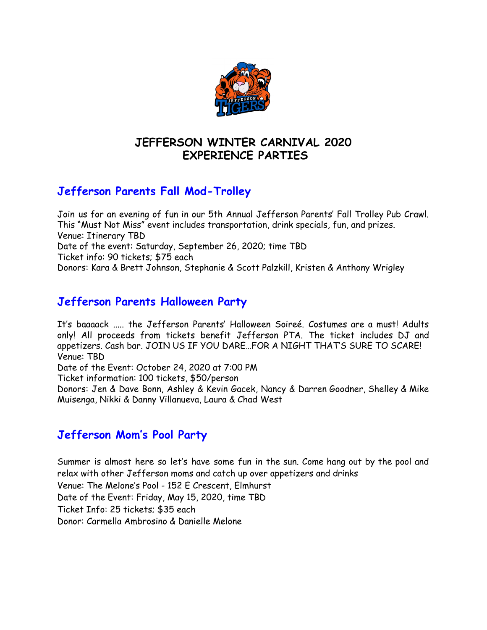

## **JEFFERSON WINTER CARNIVAL 2020 EXPERIENCE PARTIES**

# **Jefferson Parents Fall Mod-Trolley**

Join us for an evening of fun in our 5th Annual Jefferson Parents' Fall Trolley Pub Crawl. This "Must Not Miss" event includes transportation, drink specials, fun, and prizes. Venue: Itinerary TBD Date of the event: Saturday, September 26, 2020; time TBD Ticket info: 90 tickets; \$75 each Donors: Kara & Brett Johnson, Stephanie & Scott Palzkill, Kristen & Anthony Wrigley

## **Jefferson Parents Halloween Party**

It's baaaack ..... the Jefferson Parents' Halloween Soireé. Costumes are a must! Adults only! All proceeds from tickets benefit Jefferson PTA. The ticket includes DJ and appetizers. Cash bar. JOIN US IF YOU DARE…FOR A NIGHT THAT'S SURE TO SCARE! Venue: TBD

Date of the Event: October 24, 2020 at 7:00 PM

Ticket information: 100 tickets, \$50/person

Donors: Jen & Dave Bonn, Ashley & Kevin Gacek, Nancy & Darren Goodner, Shelley & Mike Muisenga, Nikki & Danny Villanueva, Laura & Chad West

## **Jefferson Mom's Pool Party**

Summer is almost here so let's have some fun in the sun. Come hang out by the pool and relax with other Jefferson moms and catch up over appetizers and drinks Venue: The Melone's Pool - 152 E Crescent, Elmhurst Date of the Event: Friday, May 15, 2020, time TBD Ticket Info: 25 tickets; \$35 each Donor: Carmella Ambrosino & Danielle Melone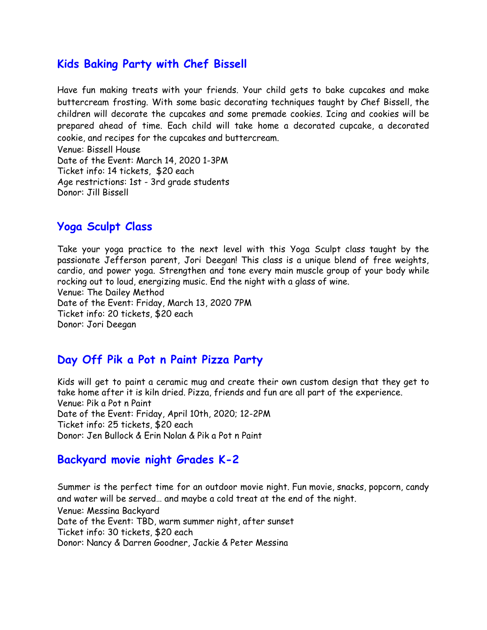### **Kids Baking Party with Chef Bissell**

Have fun making treats with your friends. Your child gets to bake cupcakes and make buttercream frosting. With some basic decorating techniques taught by Chef Bissell, the children will decorate the cupcakes and some premade cookies. Icing and cookies will be prepared ahead of time. Each child will take home a decorated cupcake, a decorated cookie, and recipes for the cupcakes and buttercream. Venue: Bissell House Date of the Event: March 14, 2020 1-3PM

Ticket info: 14 tickets, \$20 each Age restrictions: 1st - 3rd grade students Donor: Jill Bissell

## **Yoga Sculpt Class**

Take your yoga practice to the next level with this Yoga Sculpt class taught by the passionate Jefferson parent, Jori Deegan! This class is a unique blend of free weights, cardio, and power yoga. Strengthen and tone every main muscle group of your body while rocking out to loud, energizing music. End the night with a glass of wine. Venue: The Dailey Method Date of the Event: Friday, March 13, 2020 7PM Ticket info: 20 tickets, \$20 each Donor: Jori Deegan

### **Day Off Pik a Pot n Paint Pizza Party**

Kids will get to paint a ceramic mug and create their own custom design that they get to take home after it is kiln dried. Pizza, friends and fun are all part of the experience. Venue: Pik a Pot n Paint Date of the Event: Friday, April 10th, 2020; 12-2PM Ticket info: 25 tickets, \$20 each Donor: Jen Bullock & Erin Nolan & Pik a Pot n Paint

### **Backyard movie night Grades K-2**

Summer is the perfect time for an outdoor movie night. Fun movie, snacks, popcorn, candy and water will be served… and maybe a cold treat at the end of the night. Venue: Messina Backyard Date of the Event: TBD, warm summer night, after sunset Ticket info: 30 tickets, \$20 each Donor: Nancy & Darren Goodner, Jackie & Peter Messina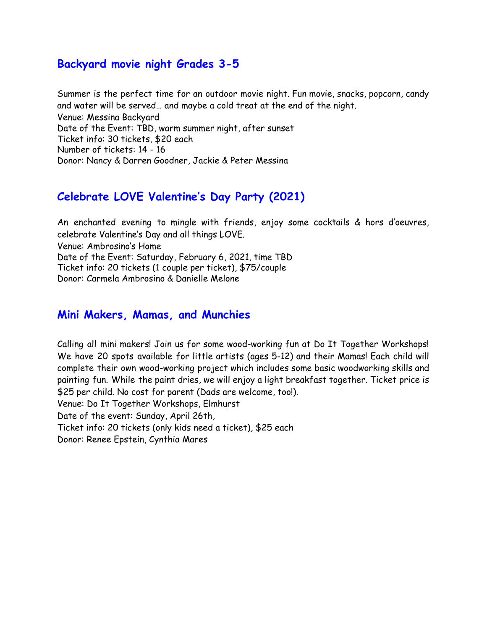### **Backyard movie night Grades 3-5**

Summer is the perfect time for an outdoor movie night. Fun movie, snacks, popcorn, candy and water will be served… and maybe a cold treat at the end of the night. Venue: Messina Backyard Date of the Event: TBD, warm summer night, after sunset Ticket info: 30 tickets, \$20 each Number of tickets: 14 - 16 Donor: Nancy & Darren Goodner, Jackie & Peter Messina

## **Celebrate LOVE Valentine's Day Party (2021)**

An enchanted evening to mingle with friends, enjoy some cocktails & hors d'oeuvres, celebrate Valentine's Day and all things LOVE. Venue: Ambrosino's Home Date of the Event: Saturday, February 6, 2021, time TBD Ticket info: 20 tickets (1 couple per ticket), \$75/couple Donor: Carmela Ambrosino & Danielle Melone

### **Mini Makers, Mamas, and Munchies**

Calling all mini makers! Join us for some wood-working fun at Do It Together Workshops! We have 20 spots available for little artists (ages 5-12) and their Mamas! Each child will complete their own wood-working project which includes some basic woodworking skills and painting fun. While the paint dries, we will enjoy a light breakfast together. Ticket price is \$25 per child. No cost for parent (Dads are welcome, too!). Venue: Do It Together Workshops, Elmhurst Date of the event: Sunday, April 26th,

Ticket info: 20 tickets (only kids need a ticket), \$25 each

Donor: Renee Epstein, Cynthia Mares